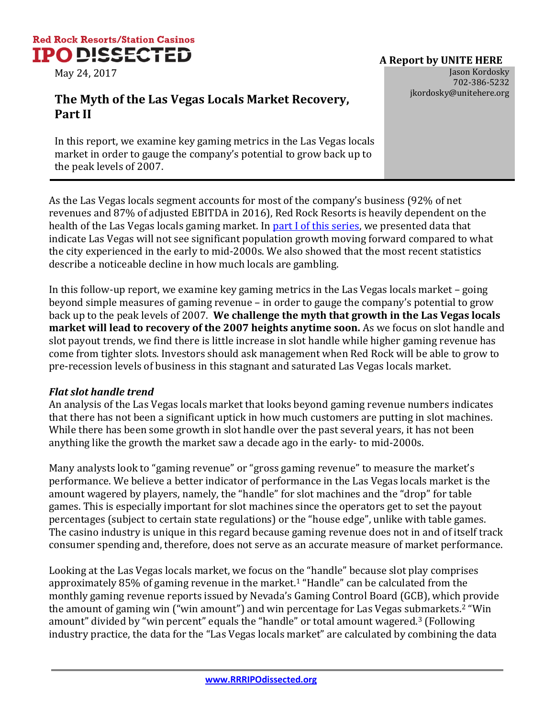

## jkordosky@unitehere.org **The Myth of the Las Vegas Locals Market Recovery, Part II**

In this report, we examine key gaming metrics in the Las Vegas locals market in order to gauge the company's potential to grow back up to the peak levels of 2007.

As the Las Vegas locals segment accounts for most of the company's business (92% of net revenues and 87% of adjusted EBITDA in 2016), Red Rock Resorts is heavily dependent on the health of the Las Vegas locals gaming market. In [part I of this series,](http://www.rrripodissected.org/how-will-red-rock-grow-in-a-saturated-and-stagnant-market/) we presented data that indicate Las Vegas will not see significant population growth moving forward compared to what the city experienced in the early to mid-2000s. We also showed that the most recent statistics describe a noticeable decline in how much locals are gambling.

In this follow-up report, we examine key gaming metrics in the Las Vegas locals market – going beyond simple measures of gaming revenue – in order to gauge the company's potential to grow back up to the peak levels of 2007. **We challenge the myth that growth in the Las Vegas locals market will lead to recovery of the 2007 heights anytime soon.** As we focus on slot handle and slot payout trends, we find there is little increase in slot handle while higher gaming revenue has come from tighter slots. Investors should ask management when Red Rock will be able to grow to pre-recession levels of business in this stagnant and saturated Las Vegas locals market.

## *Flat slot handle trend*

An analysis of the Las Vegas locals market that looks beyond gaming revenue numbers indicates that there has not been a significant uptick in how much customers are putting in slot machines. While there has been some growth in slot handle over the past several years, it has not been anything like the growth the market saw a decade ago in the early- to mid-2000s.

Many analysts look to "gaming revenue" or "gross gaming revenue" to measure the market's performance. We believe a better indicator of performance in the Las Vegas locals market is the amount wagered by players, namely, the "handle" for slot machines and the "drop" for table games. This is especially important for slot machines since the operators get to set the payout percentages (subject to certain state regulations) or the "house edge", unlike with table games. The casino industry is unique in this regard because gaming revenue does not in and of itself track consumer spending and, therefore, does not serve as an accurate measure of market performance.

Looking at the Las Vegas locals market, we focus on the "handle" because slot play comprises approximately 85% of gaming revenue in the market.<sup>1</sup> "Handle" can be calculated from the monthly gaming revenue reports issued by Nevada's Gaming Control Board (GCB), which provide the amount of gaming win ("win amount") and win percentage for Las Vegas submarkets.<sup>2</sup> "Win amount" divided by "win percent" equals the "handle" or total amount wagered.<sup>3</sup> (Following industry practice, the data for the "Las Vegas locals market" are calculated by combining the data

May 24, 2017 **Jason Kordosky** 702-386-5232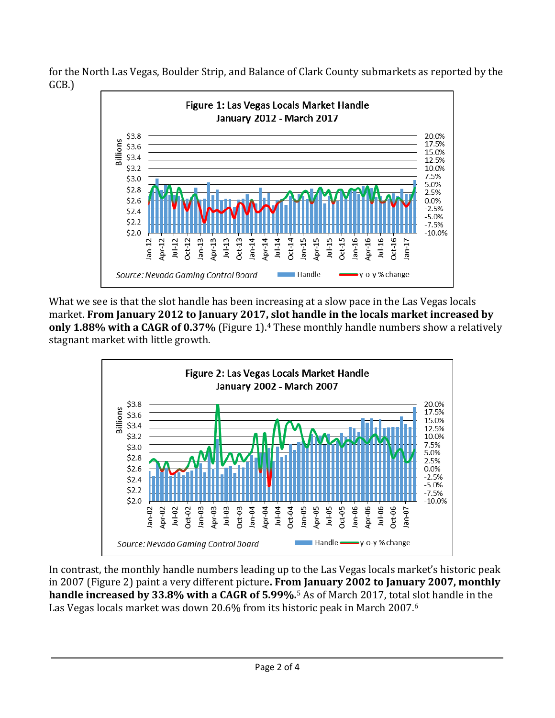for the North Las Vegas, Boulder Strip, and Balance of Clark County submarkets as reported by the GCB.)



What we see is that the slot handle has been increasing at a slow pace in the Las Vegas locals market. **From January 2012 to January 2017, slot handle in the locals market increased by only 1.88% with a CAGR of 0.37%** (Figure 1).<sup>4</sup> These monthly handle numbers show a relatively stagnant market with little growth.



In contrast, the monthly handle numbers leading up to the Las Vegas locals market's historic peak in 2007 (Figure 2) paint a very different picture**. From January 2002 to January 2007, monthly handle increased by 33.8% with a CAGR of 5.99%.**<sup>5</sup> As of March 2017, total slot handle in the Las Vegas locals market was down 20.6% from its historic peak in March 2007.6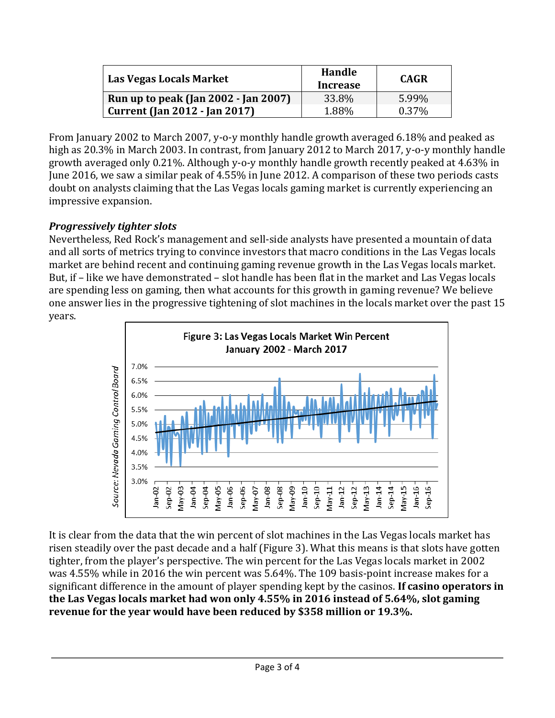| Las Vegas Locals Market              | Handle<br>Increase | <b>CAGR</b> |
|--------------------------------------|--------------------|-------------|
| Run up to peak (Jan 2002 - Jan 2007) | $33.8\%$           | 5.99%       |
| <b>Current (Jan 2012 - Jan 2017)</b> | 1.88%              | $0.37\%$    |

From January 2002 to March 2007, y-o-y monthly handle growth averaged 6.18% and peaked as high as 20.3% in March 2003. In contrast, from January 2012 to March 2017, y-o-y monthly handle growth averaged only 0.21%. Although y-o-y monthly handle growth recently peaked at 4.63% in June 2016, we saw a similar peak of 4.55% in June 2012. A comparison of these two periods casts doubt on analysts claiming that the Las Vegas locals gaming market is currently experiencing an impressive expansion.

## *Progressively tighter slots*

Nevertheless, Red Rock's management and sell-side analysts have presented a mountain of data and all sorts of metrics trying to convince investors that macro conditions in the Las Vegas locals market are behind recent and continuing gaming revenue growth in the Las Vegas locals market. But, if – like we have demonstrated – slot handle has been flat in the market and Las Vegas locals are spending less on gaming, then what accounts for this growth in gaming revenue? We believe one answer lies in the progressive tightening of slot machines in the locals market over the past 15 years.



It is clear from the data that the win percent of slot machines in the Las Vegas locals market has risen steadily over the past decade and a half (Figure 3). What this means is that slots have gotten tighter, from the player's perspective. The win percent for the Las Vegas locals market in 2002 was 4.55% while in 2016 the win percent was 5.64%. The 109 basis-point increase makes for a significant difference in the amount of player spending kept by the casinos. **If casino operators in the Las Vegas locals market had won only 4.55% in 2016 instead of 5.64%, slot gaming revenue for the year would have been reduced by \$358 million or 19.3%.**